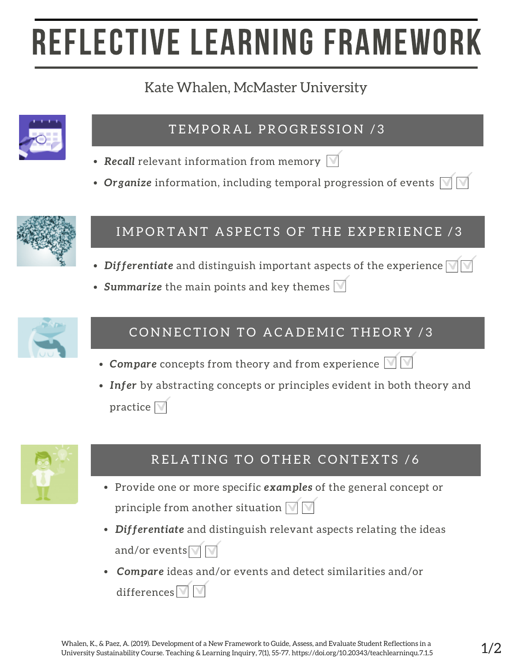# REFLECTIVE LEARNING FRAMEWORK

## Kate Whalen, McMaster University



#### TEMPORAL PROGRESSION /3

- **Recall** relevant information from memory  $\boxed{\mathbb{V}}$
- Organize information, including temporal progression of events  $\boxdot$



### IMPORTANT ASPECTS OF THE EXPERIENCE /3

- *Differentiate* and distinguish important aspects of the experience
- Summarize the main points and key themes  $\mathbb N$



## CONNECTION TO ACADEMIC THEORY /3

- Compare concepts from theory and from experience  $\boxed{\blacksquare}$
- *Infer* by abstracting concepts or principles evident in both theory and practice  $\nabla$



## RELATING TO OTHER CONTEXTS /6

- Provide one or more specific *examples* of the general concept or principle from another situation  $\sqrt{\sqrt{}}$
- *Differentiate* and distinguish relevant aspects relating the ideas and/or events $\nabla$
- *Compare* ideas and/or events and detect similarities and/or differences $\nabla$